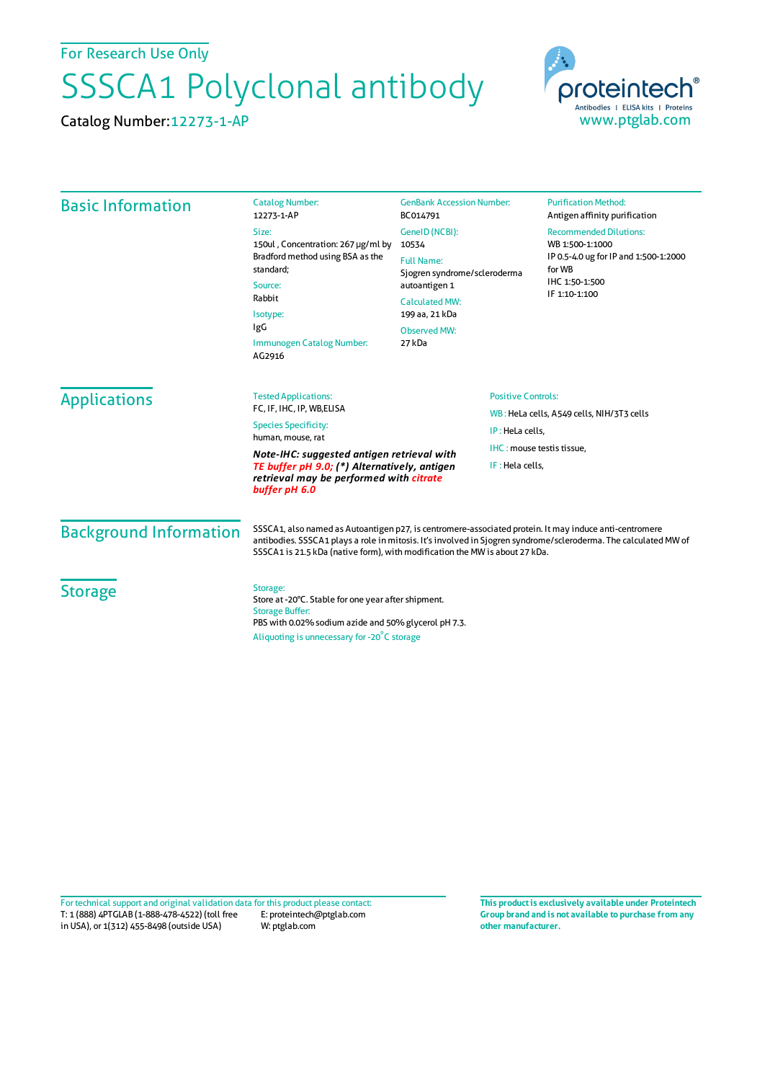For Research Use Only

## SSSCA1 Polyclonal antibody

Catalog Number:12273-1-AP



| <b>Basic Information</b>                                                                                 | <b>Catalog Number:</b><br>12273-1-AP                                                                                                                                                                                                                                                                     | <b>GenBank Accession Number:</b><br>BC014791                                                                  |  | <b>Purification Method:</b><br>Antigen affinity purification                                                                           |                               |                             |                           |
|----------------------------------------------------------------------------------------------------------|----------------------------------------------------------------------------------------------------------------------------------------------------------------------------------------------------------------------------------------------------------------------------------------------------------|---------------------------------------------------------------------------------------------------------------|--|----------------------------------------------------------------------------------------------------------------------------------------|-------------------------------|-----------------------------|---------------------------|
|                                                                                                          | Size:<br>150ul, Concentration: 267 µg/ml by<br>Bradford method using BSA as the<br>standard;<br>Source:<br>Rabbit<br>Isotype:<br>IgG<br>Immunogen Catalog Number:<br>AG2916                                                                                                                              | GeneID (NCBI):<br>10534                                                                                       |  | <b>Recommended Dilutions:</b><br>WB 1:500-1:1000<br>IP 0.5-4.0 ug for IP and 1:500-1:2000<br>for WB<br>IHC 1:50-1:500<br>IF 1:10-1:100 |                               |                             |                           |
|                                                                                                          |                                                                                                                                                                                                                                                                                                          | <b>Full Name:</b><br>Sjogren syndrome/scleroderma<br>autoantigen 1<br><b>Calculated MW:</b><br>199 aa, 21 kDa |  |                                                                                                                                        |                               |                             |                           |
|                                                                                                          |                                                                                                                                                                                                                                                                                                          |                                                                                                               |  |                                                                                                                                        | <b>Observed MW:</b><br>27 kDa |                             |                           |
|                                                                                                          |                                                                                                                                                                                                                                                                                                          |                                                                                                               |  |                                                                                                                                        | <b>Applications</b>           | <b>Tested Applications:</b> | <b>Positive Controls:</b> |
|                                                                                                          |                                                                                                                                                                                                                                                                                                          | FC, IF, IHC, IP, WB, ELISA<br><b>Species Specificity:</b>                                                     |  | WB: HeLa cells, A549 cells, NIH/3T3 cells<br>IP: HeLa cells,<br>IHC: mouse testis tissue,                                              |                               |                             |                           |
| human, mouse, rat<br>Note-IHC: suggested antigen retrieval with                                          |                                                                                                                                                                                                                                                                                                          |                                                                                                               |  |                                                                                                                                        |                               |                             |                           |
| TE buffer pH 9.0; (*) Alternatively, antigen<br>retrieval may be performed with citrate<br>buffer pH 6.0 |                                                                                                                                                                                                                                                                                                          | IF: Hela cells,                                                                                               |  |                                                                                                                                        |                               |                             |                           |
| <b>Background Information</b>                                                                            | SSSCA1, also named as Autoantigen p27, is centromere-associated protein. It may induce anti-centromere<br>antibodies. SSSCA1 plays a role in mitosis. It's involved in Sjogren syndrome/scleroderma. The calculated MW of<br>SSSCA1 is 21.5 kDa (native form), with modification the MW is about 27 kDa. |                                                                                                               |  |                                                                                                                                        |                               |                             |                           |
| <b>Storage</b>                                                                                           | Storage:<br>Store at -20°C. Stable for one year after shipment.<br><b>Storage Buffer:</b><br>PBS with 0.02% sodium azide and 50% glycerol pH 7.3.                                                                                                                                                        |                                                                                                               |  |                                                                                                                                        |                               |                             |                           |
|                                                                                                          | Aliquoting is unnecessary for -20 <sup>°</sup> C storage                                                                                                                                                                                                                                                 |                                                                                                               |  |                                                                                                                                        |                               |                             |                           |

T: 1 (888) 4PTGLAB (1-888-478-4522) (toll free in USA), or 1(312) 455-8498 (outside USA) E: proteintech@ptglab.com W: ptglab.com Fortechnical support and original validation data forthis product please contact: **This productis exclusively available under Proteintech**

**Group brand and is not available to purchase from any other manufacturer.**